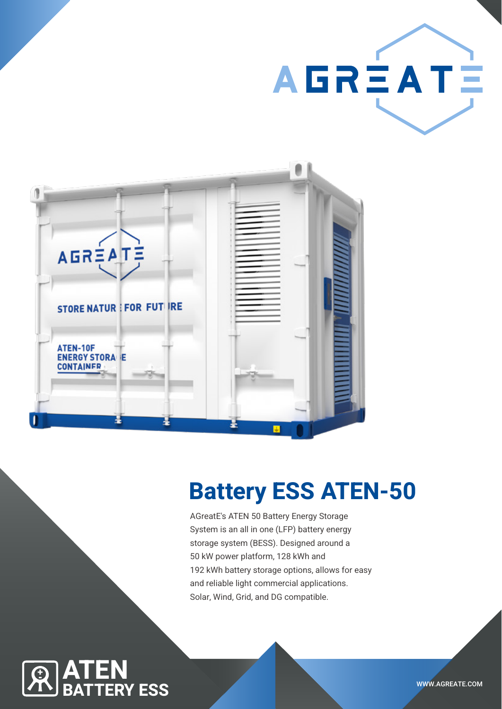



# Battery ESS ATEN-50

AGreatE's ATEN 50 Battery Energy Storage System is an all in one (LFP) battery energy storage system (BESS). Designed around a 50 kW power platform, 128 kWh and 192 kWh battery storage options, allows for easy and reliable light commercial applications. Solar, Wind, Grid, and DG compatible.

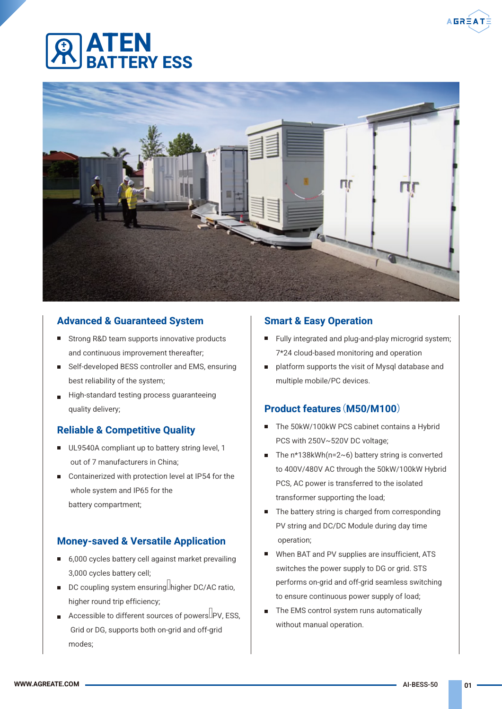## ATEN **ERY FSS**



### Advanced & Guaranteed System

- Strong R&D team supports innovative products and continuous improvement thereafter;
- Self-developed BESS controller and EMS, ensuring best reliability of the system;
- High-standard testing process quaranteeing quality delivery;

### Reliable & Competitive Quality

- UL9540A compliant up to battery string level, 1 out of 7 manufacturers in China;
- Containerized with protection level at IP54 for the whole system and IP65 for the battery compartment;

### Money-saved & Versatile Application

- 6,000 cycles battery cell against market prevailing 3,000 cycles battery cell;
- $\blacksquare$  DC coupling system ensuring. higher DC/AC ratio, higher round trip efficiency;
- Accessible to different sources of powers  $\Box$  PV, ESS, Grid or DG, supports both on-grid and off-grid modes;

#### Smart & Easy Operation

- Fully integrated and plug-and-play microgrid system; 7\*24 cloud-based monitoring and operation
- platform supports the visit of Mysql database and multiple mobile/PC devices.

#### Product features(M50/M100)

- $\blacksquare$ The 50kW/100kW PCS cabinet contains a Hybrid PCS with 250V~520V DC voltage;
- The  $n*138kWh(n=2~6)$  battery string is converted to 400V/480V AC through the 50kW/100kW Hybrid PCS, AC power is transferred to the isolated transformer supporting the load;
- The battery string is charged from corresponding П PV string and DC/DC Module during day time operation;
- $\blacksquare$ When BAT and PV supplies are insufficient, ATS switches the power supply to DG or grid. STS performs on-grid and off-grid seamless switching to ensure continuous power supply of load;
- $\blacksquare$ The EMS control system runs automatically without manual operation.

**AGRÈA**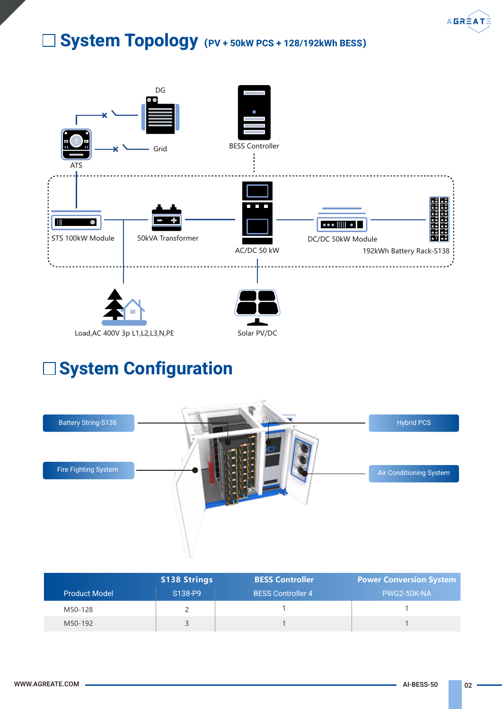

## System Topology**(**PV + 50kW PCS + 128/192kWh BESS**)**



## System Configuration



|                      | <b>S138 Strings</b> | <b>BESS Controller</b>   | <b>Power Conversion System</b> |
|----------------------|---------------------|--------------------------|--------------------------------|
| <b>Product Model</b> | S138-P9             | <b>BESS Controller 4</b> | PWG2-50K-NA                    |
| M50-128              |                     |                          |                                |
| M50-192              |                     |                          |                                |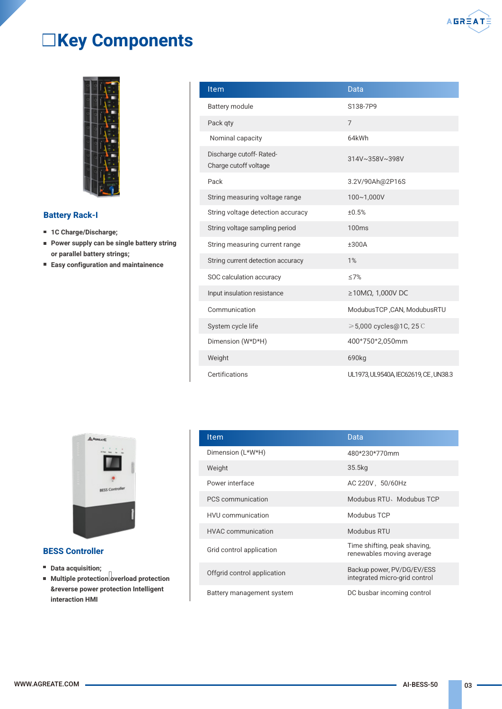

## Key Components



#### Battery Rack-I

- 1C Charge/Discharge;
- **Power supply can be single battery string** or parallel battery strings;
- Easy configuration and maintainence

| <b>Item</b>                                      | Data                                  |
|--------------------------------------------------|---------------------------------------|
| <b>Battery module</b>                            | S138-7P9                              |
| Pack qty                                         | $\overline{7}$                        |
| Nominal capacity                                 | 64kWh                                 |
| Discharge cutoff-Rated-<br>Charge cutoff voltage | 314V~358V~398V                        |
| Pack                                             | 3.2V/90Ah@2P16S                       |
| String measuring voltage range                   | 100~1,000V                            |
| String voltage detection accuracy                | ±0.5%                                 |
| String voltage sampling period                   | <b>100ms</b>                          |
| String measuring current range                   | ±300A                                 |
| String current detection accuracy                | 1%                                    |
| SOC calculation accuracy                         | $\leq$ 7%                             |
| Input insulation resistance                      | $\geq$ 10MΩ, 1,000V DC                |
| Communication                                    | ModubusTCP, CAN, ModubusRTU           |
| System cycle life                                | ≥5,000 cycles@1C, 25 C                |
| Dimension (W*D*H)                                | 400*750*2,050mm                       |
| Weight                                           | 690kg                                 |
| Certifications                                   | UL1973, UL9540A, IEC62619, CE, UN38.3 |



#### BESS Controller

- Data acquisition;
- $\blacksquare$  Multiple protection overload protection &reverse power protection Intelligent interaction HMI

| Item                        | Data                                                        |
|-----------------------------|-------------------------------------------------------------|
| Dimension (L*W*H)           | 480*230*770mm                                               |
| Weight                      | 35.5kg                                                      |
| Power interface             | AC 220V, 50/60Hz                                            |
| PCS communication           | Modubus RTU, Modubus TCP                                    |
| <b>HVU</b> communication    | Modubus TCP                                                 |
| <b>HVAC</b> communication   | Modubus RTU                                                 |
| Grid control application    | Time shifting, peak shaving,<br>renewables moving average   |
| Offgrid control application | Backup power, PV/DG/EV/ESS<br>integrated micro-grid control |
| Battery management system   | DC busbar incoming control                                  |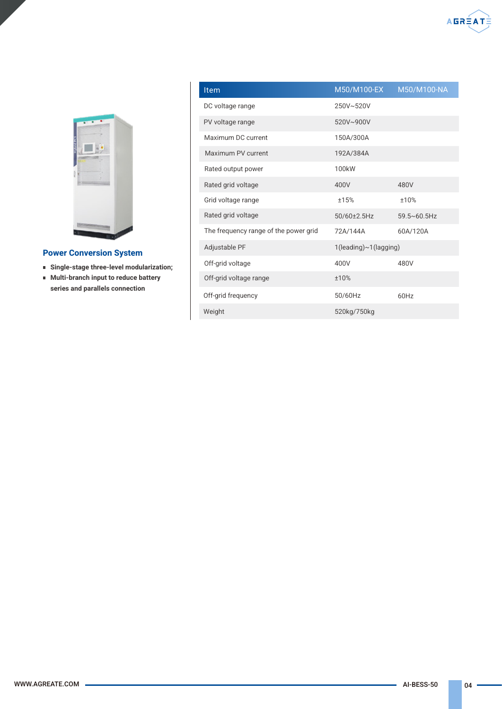

#### Power Conversion System

- **Single-stage three-level modularization;**
- Multi-branch input to reduce battery series and parallels connection

| <b>Item</b>                           | M50/M100-EX           | M50/M100-NA      |  |
|---------------------------------------|-----------------------|------------------|--|
| DC voltage range                      | 250V~520V             |                  |  |
| PV voltage range                      | 520V~900V             |                  |  |
| Maximum DC current                    | 150A/300A             |                  |  |
| Maximum PV current                    | 192A/384A             |                  |  |
| Rated output power                    | 100 <sub>k</sub> W    |                  |  |
| Rated grid voltage                    | 400V                  | 480V             |  |
| Grid voltage range                    | ±15%                  | ±10%             |  |
| Rated grid voltage                    | 50/60±2.5Hz           | $59.5 - 60.5$ Hz |  |
| The frequency range of the power grid | 72A/144A              | 60A/120A         |  |
| Adjustable PF                         | 1(leading)~1(lagging) |                  |  |
| Off-grid voltage                      | 400V                  | 480V             |  |
| Off-grid voltage range                | ±10%                  |                  |  |
| Off-grid frequency                    | 50/60Hz               | 60Hz             |  |
| Weight                                | 520kg/750kg           |                  |  |

 $A<sub>GR</sub>$  $A<sub>AT</sub>$  $A<sub>AT</sub>$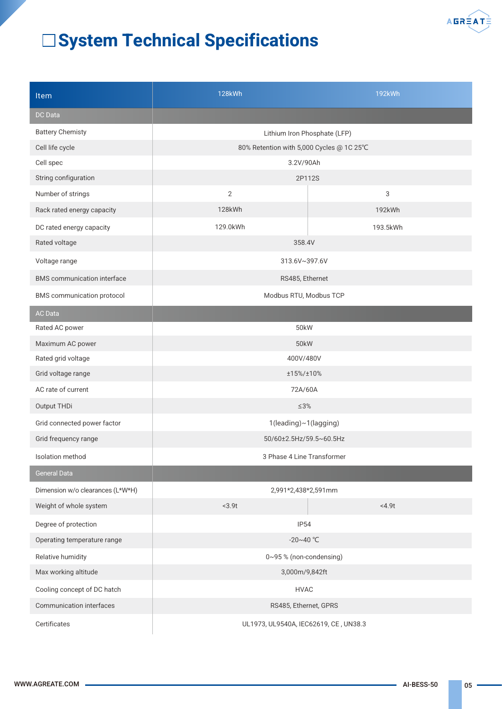

## System Technical Specifications

| <b>Item</b>                        | <b>128kWh</b>                            | 192kWh   |  |
|------------------------------------|------------------------------------------|----------|--|
| <b>DC</b> Data                     |                                          |          |  |
| <b>Battery Chemisty</b>            | Lithium Iron Phosphate (LFP)             |          |  |
| Cell life cycle                    | 80% Retention with 5,000 Cycles @ 1C 25℃ |          |  |
| Cell spec                          | 3.2V/90Ah                                |          |  |
| String configuration               | 2P112S                                   |          |  |
| Number of strings                  | $\overline{2}$                           | 3        |  |
| Rack rated energy capacity         | 128kWh                                   | 192kWh   |  |
| DC rated energy capacity           | 129.0kWh                                 | 193.5kWh |  |
| Rated voltage                      | 358.4V                                   |          |  |
| Voltage range                      | 313.6V~397.6V                            |          |  |
| <b>BMS</b> communication interface | RS485, Ethernet                          |          |  |
| BMS communication protocol         | Modbus RTU, Modbus TCP                   |          |  |
| <b>AC Data</b>                     |                                          |          |  |
| Rated AC power                     | 50 <sub>k</sub> W                        |          |  |
| Maximum AC power                   | 50kW                                     |          |  |
| Rated grid voltage                 | 400V/480V                                |          |  |
| Grid voltage range                 | ±15%/±10%                                |          |  |
| AC rate of current                 | 72A/60A                                  |          |  |
| Output THDi                        | $\leq 3\%$                               |          |  |
| Grid connected power factor        | 1(leading)~1(lagging)                    |          |  |
| Grid frequency range               | 50/60±2.5Hz/59.5~60.5Hz                  |          |  |
| Isolation method                   | 3 Phase 4 Line Transformer               |          |  |
| <b>General Data</b>                |                                          |          |  |
| Dimension w/o clearances (L*W*H)   | 2,991*2,438*2,591mm                      |          |  |
| Weight of whole system             | $3.9t$                                   | <4.9t    |  |
| Degree of protection               | <b>IP54</b>                              |          |  |
| Operating temperature range        | $-20 - 40$ °C                            |          |  |
| Relative humidity                  | 0~95% (non-condensing)                   |          |  |
| Max working altitude               | 3,000m/9,842ft                           |          |  |
| Cooling concept of DC hatch        | <b>HVAC</b>                              |          |  |
| Communication interfaces           | RS485, Ethernet, GPRS                    |          |  |
| Certificates                       | UL1973, UL9540A, IEC62619, CE, UN38.3    |          |  |